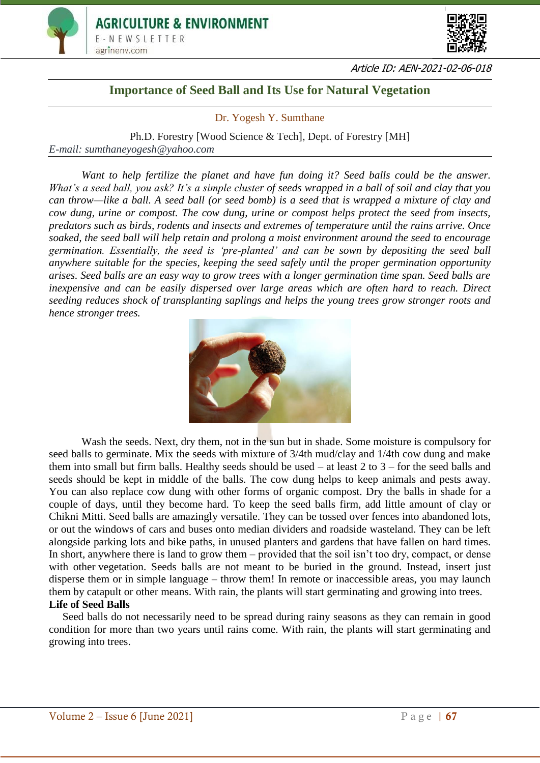



Article ID: AEN-2021-02-06-018

## **Importance of Seed Ball and Its Use for Natural Vegetation**

Dr. Yogesh Y. Sumthane

Ph.D. Forestry [Wood Science & Tech], Dept. of Forestry [MH] *E-mail: sumthaneyogesh@yahoo.com* 

Want to help fertilize the planet and have fun doing it? Seed balls could be the answer. *What's a seed ball, you ask? It's a simple cluster of seeds wrapped in a ball of soil and clay that you can throw—like a ball. A seed ball (or seed bomb) is a seed that is wrapped a mixture of clay and cow dung, urine or compost. The cow dung, urine or compost helps protect the seed from insects, predators such as birds, rodents and insects and extremes of temperature until the rains arrive. Once soaked, the seed ball will help retain and prolong a moist environment around the seed to encourage germination. Essentially, the seed is 'pre-planted' and can be sown by depositing the seed ball anywhere suitable for the species, keeping the seed safely until the proper germination opportunity arises. Seed balls are an easy way to grow trees with a longer germination time span. Seed balls are inexpensive and can be easily dispersed over large areas which are often hard to reach. Direct seeding reduces shock of transplanting saplings and helps the young trees grow stronger roots and hence stronger trees.*



Wash the seeds. Next, dry them, not in the sun but in shade. Some moisture is compulsory for seed balls to germinate. Mix the seeds with mixture of 3/4th mud/clay and 1/4th cow dung and make them into small but firm balls. Healthy seeds should be used – at least 2 to 3 – for the seed balls and seeds should be kept in middle of the balls. The cow dung helps to keep animals and pests away. You can also replace cow dung with other forms of organic compost. Dry the balls in shade for a couple of days, until they become hard. To keep the seed balls firm, add little amount of clay or Chikni Mitti. Seed balls are amazingly versatile. They can be tossed over fences into abandoned lots, or out the windows of cars and buses onto median dividers and roadside wasteland. They can be left alongside parking lots and bike paths, in unused planters and gardens that have fallen on hard times. In short, anywhere there is land to grow them – provided that the soil isn't too dry, compact, or dense with other vegetation. Seeds balls are not meant to be buried in the ground. Instead, insert just disperse them or in simple language – throw them! In remote or inaccessible areas, you may launch them by catapult or other means. With rain, the plants will start germinating and growing into trees. **Life of Seed Balls**

 Seed balls do not necessarily need to be spread during rainy seasons as they can remain in good condition for more than two years until rains come. With rain, the plants will start germinating and growing into trees.